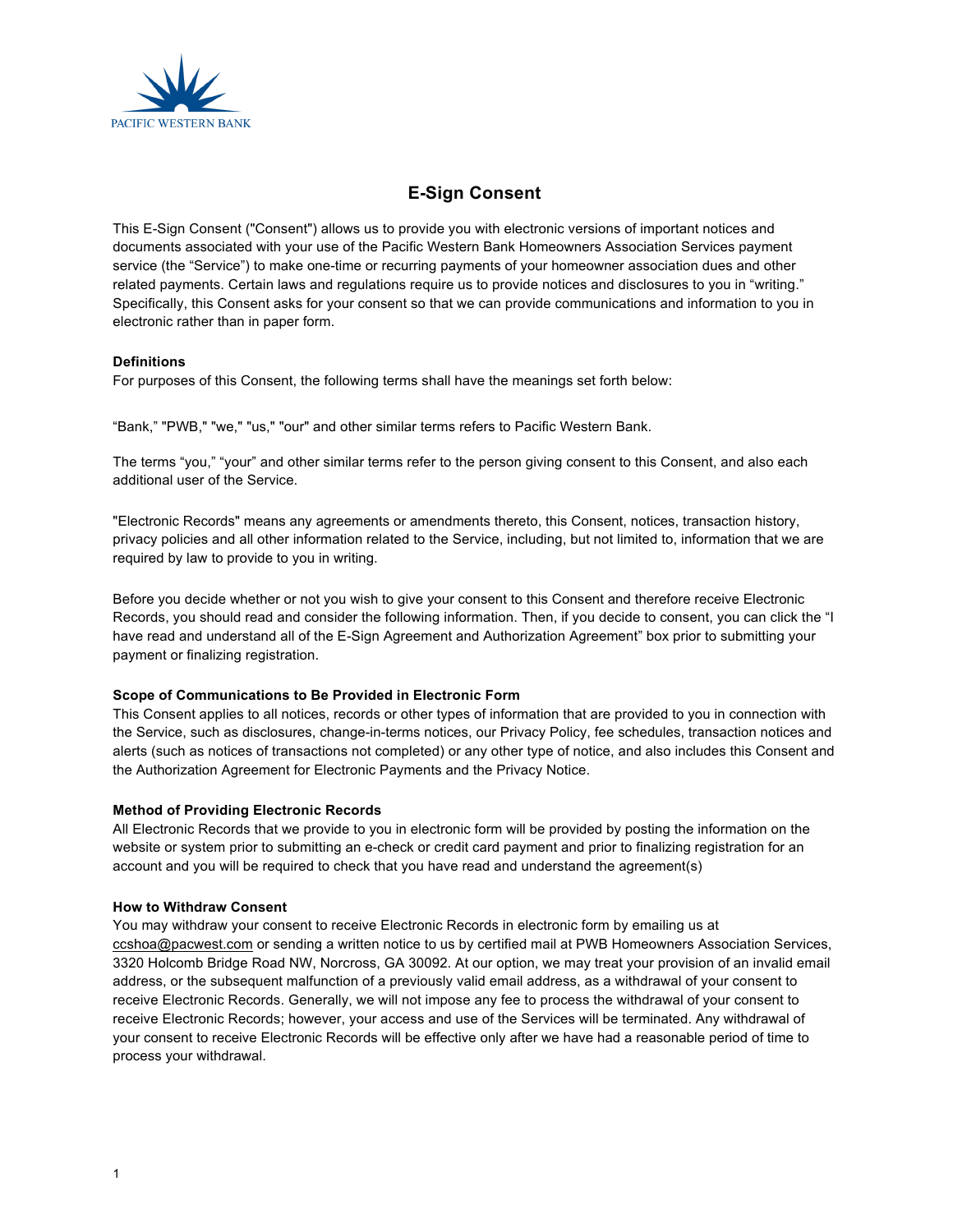

# **E-Sign Consent**

This E-Sign Consent ("Consent") allows us to provide you with electronic versions of important notices and documents associated with your use of the Pacific Western Bank Homeowners Association Services payment service (the "Service") to make one-time or recurring payments of your homeowner association dues and other related payments. Certain laws and regulations require us to provide notices and disclosures to you in "writing." Specifically, this Consent asks for your consent so that we can provide communications and information to you in electronic rather than in paper form.

## **Definitions**

For purposes of this Consent, the following terms shall have the meanings set forth below:

"Bank," "PWB," "we," "us," "our" and other similar terms refers to Pacific Western Bank.

The terms "you," "your" and other similar terms refer to the person giving consent to this Consent, and also each additional user of the Service.

"Electronic Records" means any agreements or amendments thereto, this Consent, notices, transaction history, privacy policies and all other information related to the Service, including, but not limited to, information that we are required by law to provide to you in writing.

Before you decide whether or not you wish to give your consent to this Consent and therefore receive Electronic Records, you should read and consider the following information. Then, if you decide to consent, you can click the "I have read and understand all of the E-Sign Agreement and Authorization Agreement" box prior to submitting your payment or finalizing registration.

## **Scope of Communications to Be Provided in Electronic Form**

This Consent applies to all notices, records or other types of information that are provided to you in connection with the Service, such as disclosures, change-in-terms notices, our Privacy Policy, fee schedules, transaction notices and alerts (such as notices of transactions not completed) or any other type of notice, and also includes this Consent and the Authorization Agreement for Electronic Payments and the Privacy Notice.

## **Method of Providing Electronic Records**

All Electronic Records that we provide to you in electronic form will be provided by posting the information on the website or system prior to submitting an e-check or credit card payment and prior to finalizing registration for an account and you will be required to check that you have read and understand the agreement(s)

## **How to Withdraw Consent**

You may withdraw your consent to receive Electronic Records in electronic form by emailing us at ccshoa@pacwest.com or sending a written notice to us by certified mail at PWB Homeowners Association Services, 3320 Holcomb Bridge Road NW, Norcross, GA 30092. At our option, we may treat your provision of an invalid email address, or the subsequent malfunction of a previously valid email address, as a withdrawal of your consent to receive Electronic Records. Generally, we will not impose any fee to process the withdrawal of your consent to receive Electronic Records; however, your access and use of the Services will be terminated. Any withdrawal of your consent to receive Electronic Records will be effective only after we have had a reasonable period of time to process your withdrawal.